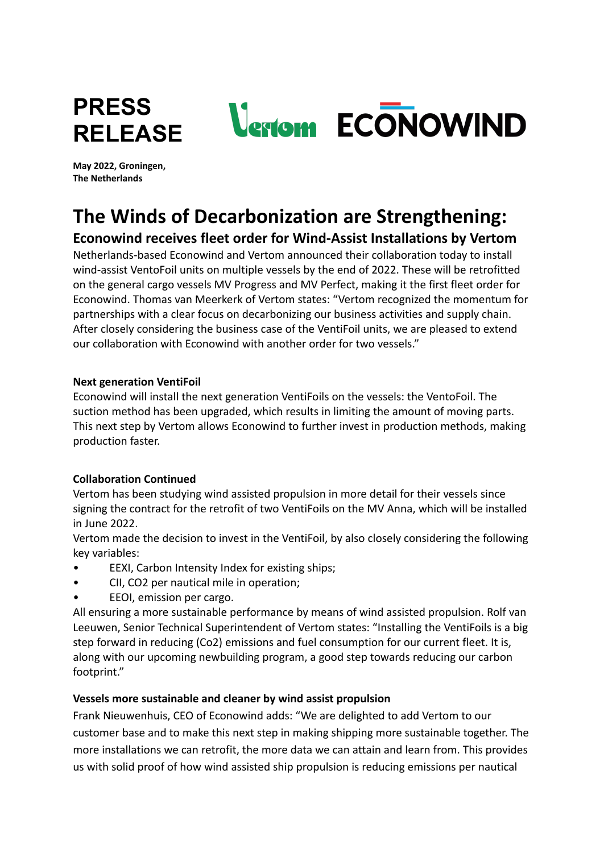

**May 2022, Groningen, The Netherlands**

# **The Winds of Decarbonization are Strengthening:**

# **Econowind receives fleet order for Wind-Assist Installations by Vertom**

Netherlands-based Econowind and Vertom announced their collaboration today to install wind-assist VentoFoil units on multiple vessels by the end of 2022. These will be retrofitted on the general cargo vessels MV Progress and MV Perfect, making it the first fleet order for Econowind. Thomas van Meerkerk of Vertom states: "Vertom recognized the momentum for partnerships with a clear focus on decarbonizing our business activities and supply chain. After closely considering the business case of the VentiFoil units, we are pleased to extend our collaboration with Econowind with another order for two vessels."

# **Next generation VentiFoil**

Econowind will install the next generation VentiFoils on the vessels: the VentoFoil. The suction method has been upgraded, which results in limiting the amount of moving parts. This next step by Vertom allows Econowind to further invest in production methods, making production faster.

# **Collaboration Continued**

Vertom has been studying wind assisted propulsion in more detail for their vessels since signing the contract for the retrofit of two VentiFoils on the MV Anna, which will be installed in June 2022.

Vertom made the decision to invest in the VentiFoil, by also closely considering the following key variables:

- EEXI, Carbon Intensity Index for existing ships;
- CII, CO2 per nautical mile in operation;
- EEOI, emission per cargo.

All ensuring a more sustainable performance by means of wind assisted propulsion. Rolf van Leeuwen, Senior Technical Superintendent of Vertom states: "Installing the VentiFoils is a big step forward in reducing (Co2) emissions and fuel consumption for our current fleet. It is, along with our upcoming newbuilding program, a good step towards reducing our carbon footprint."

# **Vessels more sustainable and cleaner by wind assist propulsion**

Frank Nieuwenhuis, CEO of Econowind adds: "We are delighted to add Vertom to our customer base and to make this next step in making shipping more sustainable together. The more installations we can retrofit, the more data we can attain and learn from. This provides us with solid proof of how wind assisted ship propulsion is reducing emissions per nautical